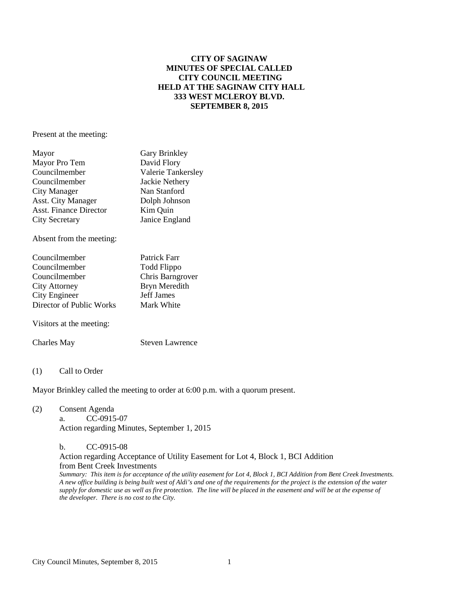## **CITY OF SAGINAW MINUTES OF SPECIAL CALLED CITY COUNCIL MEETING HELD AT THE SAGINAW CITY HALL 333 WEST MCLEROY BLVD. SEPTEMBER 8, 2015**

Present at the meeting:

| Mayor                         | Gary Brinkley      |
|-------------------------------|--------------------|
| Mayor Pro Tem                 | David Flory        |
| Councilmember                 | Valerie Tankersley |
| Councilmember                 | Jackie Nethery     |
| City Manager                  | Nan Stanford       |
| Asst. City Manager            | Dolph Johnson      |
| <b>Asst. Finance Director</b> | Kim Quin           |
| <b>City Secretary</b>         | Janice England     |
|                               |                    |

Absent from the meeting:

| Councilmember            | Patrick Farr      |
|--------------------------|-------------------|
| Councilmember            | Todd Flippo       |
| Councilmember            | Chris Barngrover  |
| <b>City Attorney</b>     | Bryn Meredith     |
| City Engineer            | <b>Jeff James</b> |
| Director of Public Works | Mark White        |

Visitors at the meeting:

Charles May Steven Lawrence

(1) Call to Order

Mayor Brinkley called the meeting to order at 6:00 p.m. with a quorum present.

(2) Consent Agenda a. CC-0915-07 Action regarding Minutes, September 1, 2015

> b. CC-0915-08 Action regarding Acceptance of Utility Easement for Lot 4, Block 1, BCI Addition from Bent Creek Investments *Summary: This item is for acceptance of the utility easement for Lot 4, Block 1, BCI Addition from Bent Creek Investments. A new office building is being built west of Aldi's and one of the requirements for the project is the extension of the water supply for domestic use as well as fire protection. The line will be placed in the easement and will be at the expense of the developer. There is no cost to the City.*